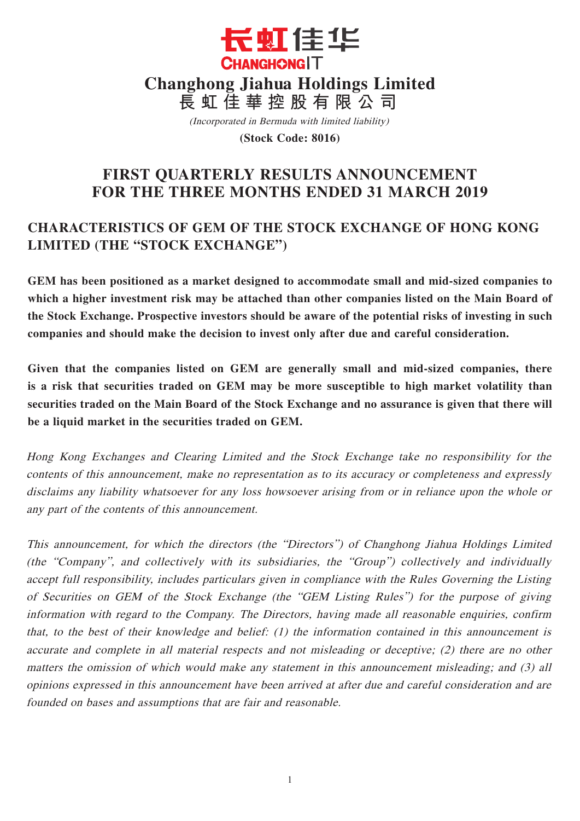

(Incorporated in Bermuda with limited liability)

**(Stock Code: 8016)**

# **FIRST QUARTERLY RESULTS ANNOUNCEMENT FOR THE THREE MONTHS ENDED 31 MARCH 2019**

# **CHARACTERISTICS OF GEM OF THE STOCK EXCHANGE OF HONG KONG LIMITED (THE "STOCK EXCHANGE")**

**GEM has been positioned as a market designed to accommodate small and mid-sized companies to which a higher investment risk may be attached than other companies listed on the Main Board of the Stock Exchange. Prospective investors should be aware of the potential risks of investing in such companies and should make the decision to invest only after due and careful consideration.**

**Given that the companies listed on GEM are generally small and mid-sized companies, there is a risk that securities traded on GEM may be more susceptible to high market volatility than securities traded on the Main Board of the Stock Exchange and no assurance is given that there will be a liquid market in the securities traded on GEM.**

Hong Kong Exchanges and Clearing Limited and the Stock Exchange take no responsibility for the contents of this announcement, make no representation as to its accuracy or completeness and expressly disclaims any liability whatsoever for any loss howsoever arising from or in reliance upon the whole or any part of the contents of this announcement.

This announcement, for which the directors (the "Directors") of Changhong Jiahua Holdings Limited (the "Company", and collectively with its subsidiaries, the "Group") collectively and individually accept full responsibility, includes particulars given in compliance with the Rules Governing the Listing of Securities on GEM of the Stock Exchange (the "GEM Listing Rules") for the purpose of giving information with regard to the Company. The Directors, having made all reasonable enquiries, confirm that, to the best of their knowledge and belief: (1) the information contained in this announcement is accurate and complete in all material respects and not misleading or deceptive; (2) there are no other matters the omission of which would make any statement in this announcement misleading; and (3) all opinions expressed in this announcement have been arrived at after due and careful consideration and are founded on bases and assumptions that are fair and reasonable.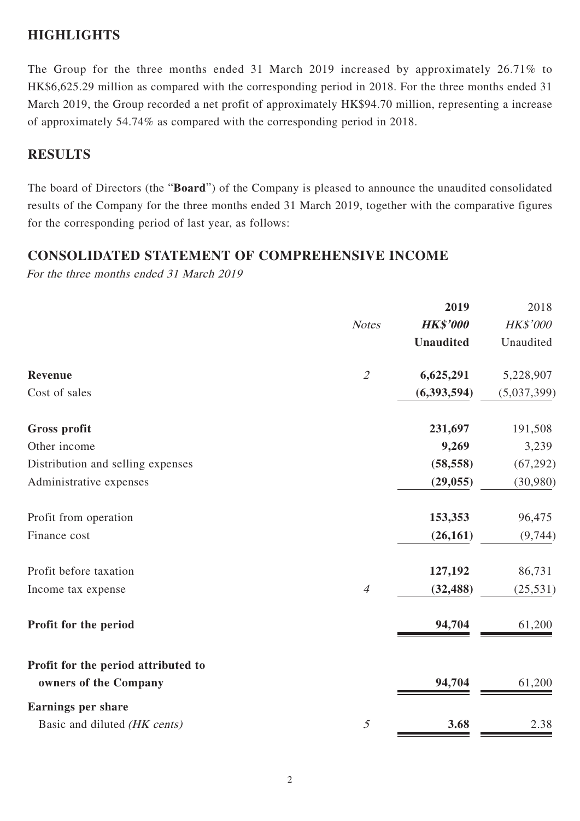### **HIGHLIGHTS**

The Group for the three months ended 31 March 2019 increased by approximately 26.71% to HK\$6,625.29 million as compared with the corresponding period in 2018. For the three months ended 31 March 2019, the Group recorded a net profit of approximately HK\$94.70 million, representing a increase of approximately 54.74% as compared with the corresponding period in 2018.

## **RESULTS**

The board of Directors (the "**Board**") of the Company is pleased to announce the unaudited consolidated results of the Company for the three months ended 31 March 2019, together with the comparative figures for the corresponding period of last year, as follows:

### **CONSOLIDATED STATEMENT OF COMPREHENSIVE INCOME**

For the three months ended 31 March 2019

|                                     |                | 2019             | 2018        |
|-------------------------------------|----------------|------------------|-------------|
|                                     | <b>Notes</b>   | <b>HK\$'000</b>  | HK\$'000    |
|                                     |                | <b>Unaudited</b> | Unaudited   |
| <b>Revenue</b>                      | $\mathcal{L}$  | 6,625,291        | 5,228,907   |
| Cost of sales                       |                | (6, 393, 594)    | (5,037,399) |
| Gross profit                        |                | 231,697          | 191,508     |
| Other income                        |                | 9,269            | 3,239       |
| Distribution and selling expenses   |                | (58, 558)        | (67, 292)   |
| Administrative expenses             |                | (29, 055)        | (30,980)    |
| Profit from operation               |                | 153,353          | 96,475      |
| Finance cost                        |                | (26, 161)        | (9,744)     |
| Profit before taxation              |                | 127,192          | 86,731      |
| Income tax expense                  | $\overline{4}$ | (32, 488)        | (25, 531)   |
| Profit for the period               |                | 94,704           | 61,200      |
| Profit for the period attributed to |                |                  |             |
| owners of the Company               |                | 94,704           | 61,200      |
| <b>Earnings per share</b>           |                |                  |             |
| Basic and diluted (HK cents)        | $\mathfrak{H}$ | 3.68             | 2.38        |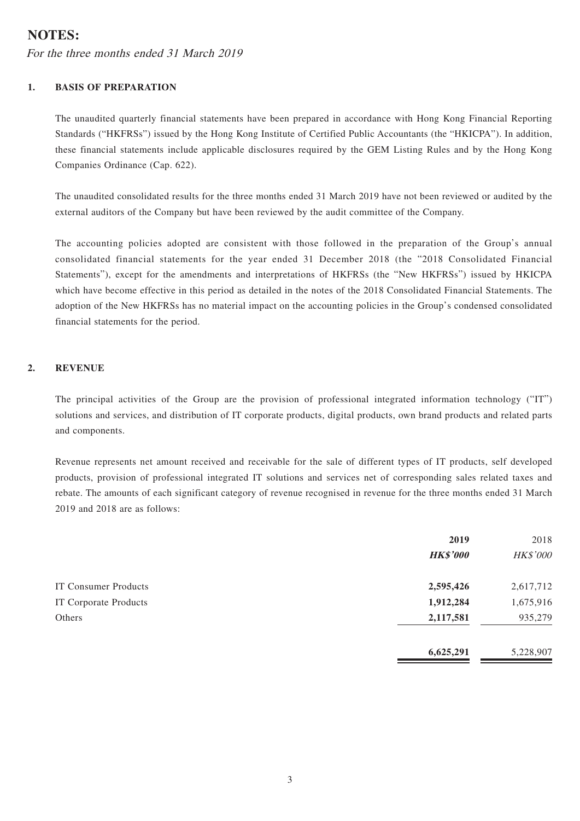### **NOTES:**

For the three months ended 31 March 2019

#### **1. BASIS OF PREPARATION**

The unaudited quarterly financial statements have been prepared in accordance with Hong Kong Financial Reporting Standards ("HKFRSs") issued by the Hong Kong Institute of Certified Public Accountants (the "HKICPA"). In addition, these financial statements include applicable disclosures required by the GEM Listing Rules and by the Hong Kong Companies Ordinance (Cap. 622).

The unaudited consolidated results for the three months ended 31 March 2019 have not been reviewed or audited by the external auditors of the Company but have been reviewed by the audit committee of the Company.

The accounting policies adopted are consistent with those followed in the preparation of the Group's annual consolidated financial statements for the year ended 31 December 2018 (the "2018 Consolidated Financial Statements"), except for the amendments and interpretations of HKFRSs (the "New HKFRSs") issued by HKICPA which have become effective in this period as detailed in the notes of the 2018 Consolidated Financial Statements. The adoption of the New HKFRSs has no material impact on the accounting policies in the Group's condensed consolidated financial statements for the period.

#### **2. REVENUE**

The principal activities of the Group are the provision of professional integrated information technology ("IT") solutions and services, and distribution of IT corporate products, digital products, own brand products and related parts and components.

Revenue represents net amount received and receivable for the sale of different types of IT products, self developed products, provision of professional integrated IT solutions and services net of corresponding sales related taxes and rebate. The amounts of each significant category of revenue recognised in revenue for the three months ended 31 March 2019 and 2018 are as follows:

|                       | 2019            | 2018      |
|-----------------------|-----------------|-----------|
|                       | <b>HK\$'000</b> | HK\$'000  |
| IT Consumer Products  | 2,595,426       | 2,617,712 |
| IT Corporate Products | 1,912,284       | 1,675,916 |
| Others                | 2,117,581       | 935,279   |
|                       | 6,625,291       | 5,228,907 |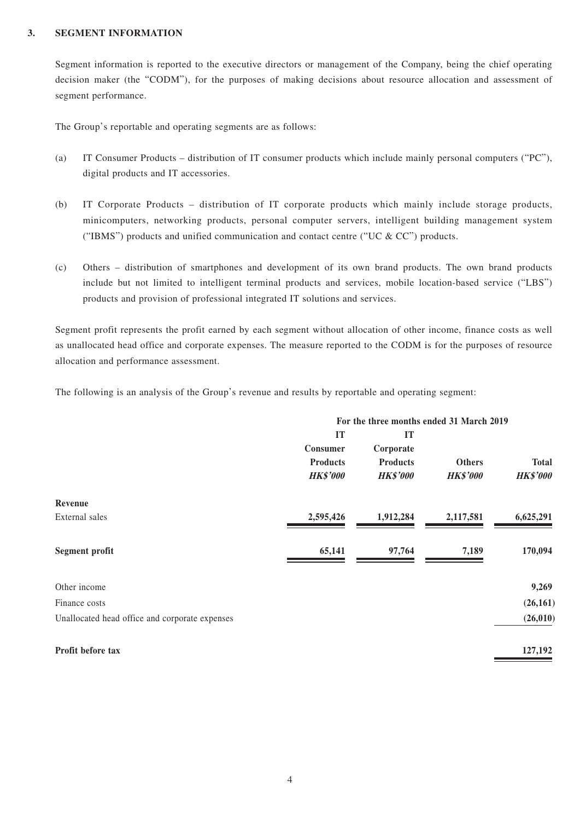#### **3. SEGMENT INFORMATION**

Segment information is reported to the executive directors or management of the Company, being the chief operating decision maker (the "CODM"), for the purposes of making decisions about resource allocation and assessment of segment performance.

The Group's reportable and operating segments are as follows:

- (a) IT Consumer Products distribution of IT consumer products which include mainly personal computers ("PC"), digital products and IT accessories.
- (b) IT Corporate Products distribution of IT corporate products which mainly include storage products, minicomputers, networking products, personal computer servers, intelligent building management system ("IBMS") products and unified communication and contact centre ("UC  $&$  CC") products.
- (c) Others distribution of smartphones and development of its own brand products. The own brand products include but not limited to intelligent terminal products and services, mobile location-based service ("LBS") products and provision of professional integrated IT solutions and services.

Segment profit represents the profit earned by each segment without allocation of other income, finance costs as well as unallocated head office and corporate expenses. The measure reported to the CODM is for the purposes of resource allocation and performance assessment.

The following is an analysis of the Group's revenue and results by reportable and operating segment:

|                                                | For the three months ended 31 March 2019 |                 |                 |                 |
|------------------------------------------------|------------------------------------------|-----------------|-----------------|-----------------|
|                                                | IT                                       | IT              |                 |                 |
|                                                | Consumer                                 | Corporate       |                 |                 |
|                                                | <b>Products</b>                          | <b>Products</b> | <b>Others</b>   | <b>Total</b>    |
|                                                | <b>HK\$'000</b>                          | <b>HK\$'000</b> | <b>HK\$'000</b> | <b>HK\$'000</b> |
| Revenue                                        |                                          |                 |                 |                 |
| External sales                                 | 2,595,426                                | 1,912,284       | 2,117,581       | 6,625,291       |
| <b>Segment profit</b>                          | 65,141                                   | 97,764          | 7,189           | 170,094         |
| Other income                                   |                                          |                 |                 | 9,269           |
| Finance costs                                  |                                          |                 |                 | (26, 161)       |
| Unallocated head office and corporate expenses |                                          |                 |                 | (26, 010)       |
| Profit before tax                              |                                          |                 |                 | 127,192         |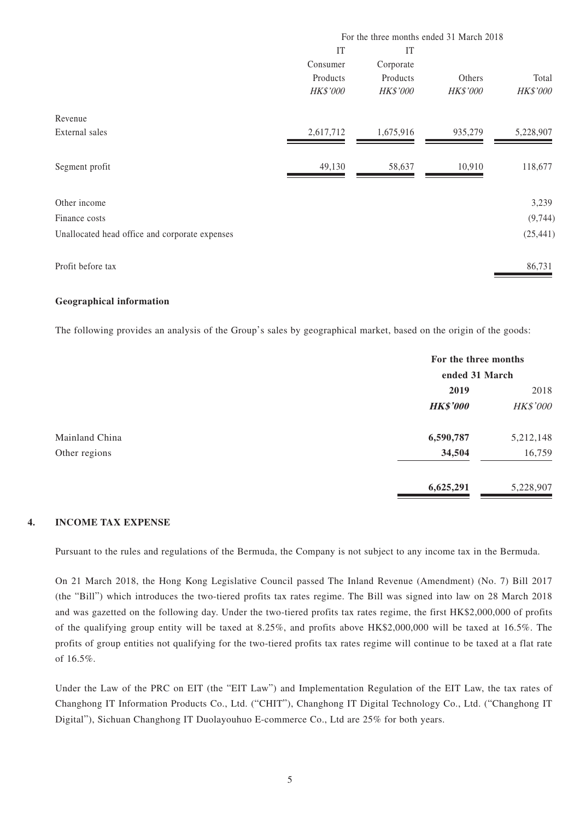|                                                | For the three months ended 31 March 2018 |                 |                 |                 |
|------------------------------------------------|------------------------------------------|-----------------|-----------------|-----------------|
|                                                | IT                                       | IT              |                 |                 |
|                                                | Consumer                                 | Corporate       |                 |                 |
|                                                | Products                                 | Products        | Others          | Total           |
|                                                | <b>HK\$'000</b>                          | <b>HK\$'000</b> | <b>HK\$'000</b> | <b>HK\$'000</b> |
| Revenue                                        |                                          |                 |                 |                 |
| External sales                                 | 2,617,712                                | 1,675,916       | 935,279         | 5,228,907       |
|                                                | 49,130                                   | 58,637          | 10,910          | 118,677         |
| Segment profit                                 |                                          |                 |                 |                 |
| Other income                                   |                                          |                 |                 | 3,239           |
| Finance costs                                  |                                          |                 |                 | (9, 744)        |
| Unallocated head office and corporate expenses |                                          |                 |                 | (25, 441)       |
|                                                |                                          |                 |                 | 86,731          |
| Profit before tax                              |                                          |                 |                 |                 |

#### **Geographical information**

The following provides an analysis of the Group's sales by geographical market, based on the origin of the goods:

|                |                 | For the three months<br>ended 31 March |  |
|----------------|-----------------|----------------------------------------|--|
|                | 2019            | 2018                                   |  |
|                | <b>HK\$'000</b> | HK\$'000                               |  |
| Mainland China | 6,590,787       | 5,212,148                              |  |
| Other regions  | 34,504          | 16,759                                 |  |
|                | 6,625,291       | 5,228,907                              |  |

#### **4. INCOME TAX EXPENSE**

Pursuant to the rules and regulations of the Bermuda, the Company is not subject to any income tax in the Bermuda.

On 21 March 2018, the Hong Kong Legislative Council passed The Inland Revenue (Amendment) (No. 7) Bill 2017 (the "Bill") which introduces the two-tiered profits tax rates regime. The Bill was signed into law on 28 March 2018 and was gazetted on the following day. Under the two-tiered profits tax rates regime, the first HK\$2,000,000 of profits of the qualifying group entity will be taxed at 8.25%, and profits above HK\$2,000,000 will be taxed at 16.5%. The profits of group entities not qualifying for the two-tiered profits tax rates regime will continue to be taxed at a flat rate of 16.5%.

Under the Law of the PRC on EIT (the "EIT Law") and Implementation Regulation of the EIT Law, the tax rates of Changhong IT Information Products Co., Ltd. ("CHIT"), Changhong IT Digital Technology Co., Ltd. ("Changhong IT Digital"), Sichuan Changhong IT Duolayouhuo E-commerce Co., Ltd are 25% for both years.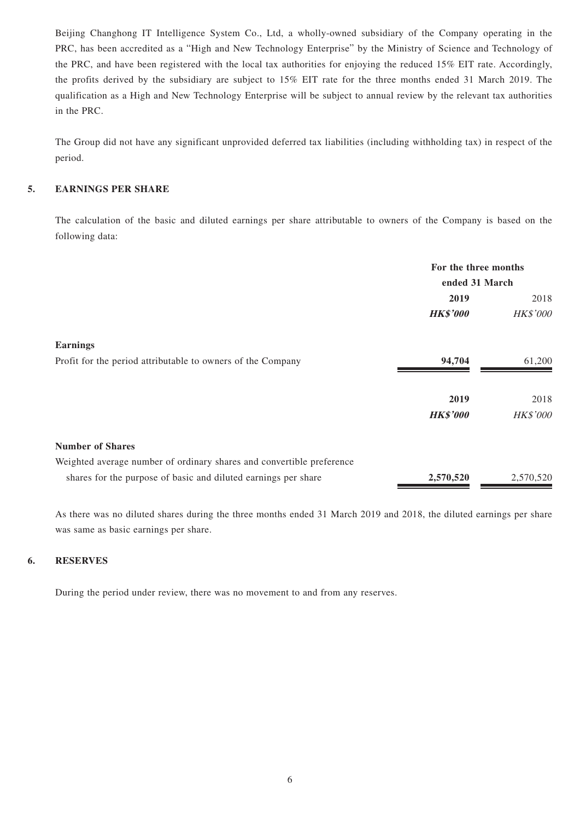Beijing Changhong IT Intelligence System Co., Ltd, a wholly-owned subsidiary of the Company operating in the PRC, has been accredited as a "High and New Technology Enterprise" by the Ministry of Science and Technology of the PRC, and have been registered with the local tax authorities for enjoying the reduced 15% EIT rate. Accordingly, the profits derived by the subsidiary are subject to 15% EIT rate for the three months ended 31 March 2019. The qualification as a High and New Technology Enterprise will be subject to annual review by the relevant tax authorities in the PRC.

The Group did not have any significant unprovided deferred tax liabilities (including withholding tax) in respect of the period.

#### **5. EARNINGS PER SHARE**

The calculation of the basic and diluted earnings per share attributable to owners of the Company is based on the following data:

|                                                                       | For the three months<br>ended 31 March |           |
|-----------------------------------------------------------------------|----------------------------------------|-----------|
|                                                                       |                                        |           |
|                                                                       | 2019                                   | 2018      |
|                                                                       | <b>HK\$'000</b>                        | HK\$'000  |
| <b>Earnings</b>                                                       |                                        |           |
| Profit for the period attributable to owners of the Company           | 94,704                                 | 61,200    |
|                                                                       | 2019                                   | 2018      |
|                                                                       | <b>HK\$'000</b>                        | HK\$'000  |
| <b>Number of Shares</b>                                               |                                        |           |
| Weighted average number of ordinary shares and convertible preference |                                        |           |
| shares for the purpose of basic and diluted earnings per share        | 2,570,520                              | 2,570,520 |

As there was no diluted shares during the three months ended 31 March 2019 and 2018, the diluted earnings per share was same as basic earnings per share.

#### **6. RESERVES**

During the period under review, there was no movement to and from any reserves.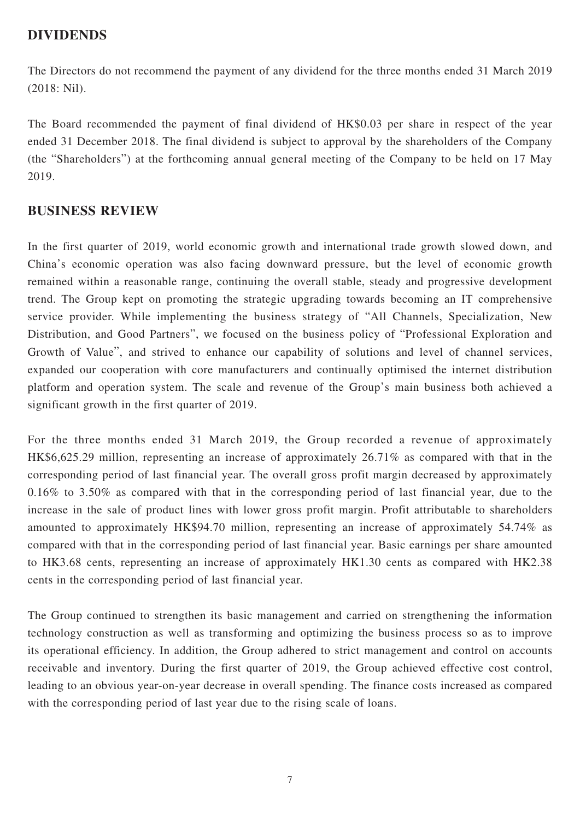### **DIVIDENDS**

The Directors do not recommend the payment of any dividend for the three months ended 31 March 2019 (2018: Nil).

The Board recommended the payment of final dividend of HK\$0.03 per share in respect of the year ended 31 December 2018. The final dividend is subject to approval by the shareholders of the Company (the "Shareholders") at the forthcoming annual general meeting of the Company to be held on 17 May 2019.

### **BUSINESS REVIEW**

In the first quarter of 2019, world economic growth and international trade growth slowed down, and China's economic operation was also facing downward pressure, but the level of economic growth remained within a reasonable range, continuing the overall stable, steady and progressive development trend. The Group kept on promoting the strategic upgrading towards becoming an IT comprehensive service provider. While implementing the business strategy of "All Channels, Specialization, New Distribution, and Good Partners", we focused on the business policy of "Professional Exploration and Growth of Value", and strived to enhance our capability of solutions and level of channel services, expanded our cooperation with core manufacturers and continually optimised the internet distribution platform and operation system. The scale and revenue of the Group's main business both achieved a significant growth in the first quarter of 2019.

For the three months ended 31 March 2019, the Group recorded a revenue of approximately HK\$6,625.29 million, representing an increase of approximately 26.71% as compared with that in the corresponding period of last financial year. The overall gross profit margin decreased by approximately 0.16% to 3.50% as compared with that in the corresponding period of last financial year, due to the increase in the sale of product lines with lower gross profit margin. Profit attributable to shareholders amounted to approximately HK\$94.70 million, representing an increase of approximately 54.74% as compared with that in the corresponding period of last financial year. Basic earnings per share amounted to HK3.68 cents, representing an increase of approximately HK1.30 cents as compared with HK2.38 cents in the corresponding period of last financial year.

The Group continued to strengthen its basic management and carried on strengthening the information technology construction as well as transforming and optimizing the business process so as to improve its operational efficiency. In addition, the Group adhered to strict management and control on accounts receivable and inventory. During the first quarter of 2019, the Group achieved effective cost control, leading to an obvious year-on-year decrease in overall spending. The finance costs increased as compared with the corresponding period of last year due to the rising scale of loans.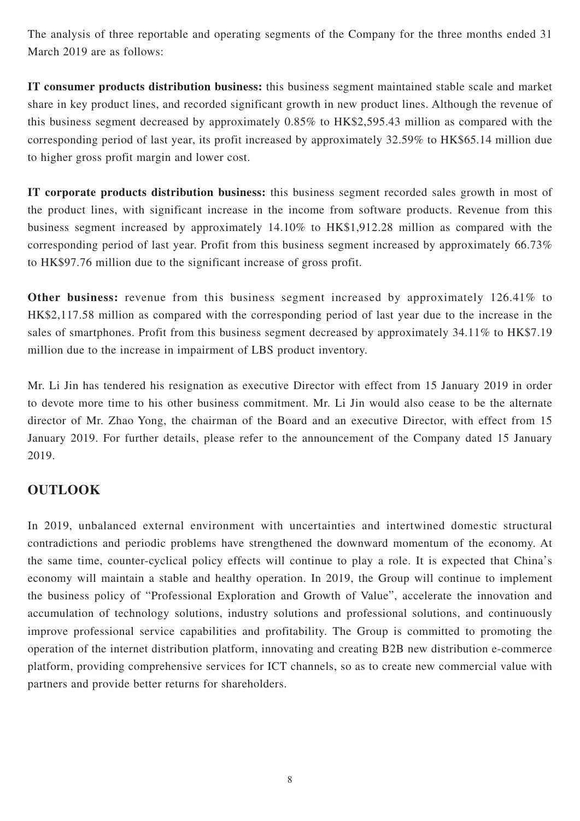The analysis of three reportable and operating segments of the Company for the three months ended 31 March 2019 are as follows:

**IT consumer products distribution business:** this business segment maintained stable scale and market share in key product lines, and recorded significant growth in new product lines. Although the revenue of this business segment decreased by approximately 0.85% to HK\$2,595.43 million as compared with the corresponding period of last year, its profit increased by approximately 32.59% to HK\$65.14 million due to higher gross profit margin and lower cost.

**IT corporate products distribution business:** this business segment recorded sales growth in most of the product lines, with significant increase in the income from software products. Revenue from this business segment increased by approximately 14.10% to HK\$1,912.28 million as compared with the corresponding period of last year. Profit from this business segment increased by approximately 66.73% to HK\$97.76 million due to the significant increase of gross profit.

**Other business:** revenue from this business segment increased by approximately 126.41% to HK\$2,117.58 million as compared with the corresponding period of last year due to the increase in the sales of smartphones. Profit from this business segment decreased by approximately 34.11% to HK\$7.19 million due to the increase in impairment of LBS product inventory.

Mr. Li Jin has tendered his resignation as executive Director with effect from 15 January 2019 in order to devote more time to his other business commitment. Mr. Li Jin would also cease to be the alternate director of Mr. Zhao Yong, the chairman of the Board and an executive Director, with effect from 15 January 2019. For further details, please refer to the announcement of the Company dated 15 January 2019.

### **OUTLOOK**

In 2019, unbalanced external environment with uncertainties and intertwined domestic structural contradictions and periodic problems have strengthened the downward momentum of the economy. At the same time, counter-cyclical policy effects will continue to play a role. It is expected that China's economy will maintain a stable and healthy operation. In 2019, the Group will continue to implement the business policy of "Professional Exploration and Growth of Value", accelerate the innovation and accumulation of technology solutions, industry solutions and professional solutions, and continuously improve professional service capabilities and profitability. The Group is committed to promoting the operation of the internet distribution platform, innovating and creating B2B new distribution e-commerce platform, providing comprehensive services for ICT channels, so as to create new commercial value with partners and provide better returns for shareholders.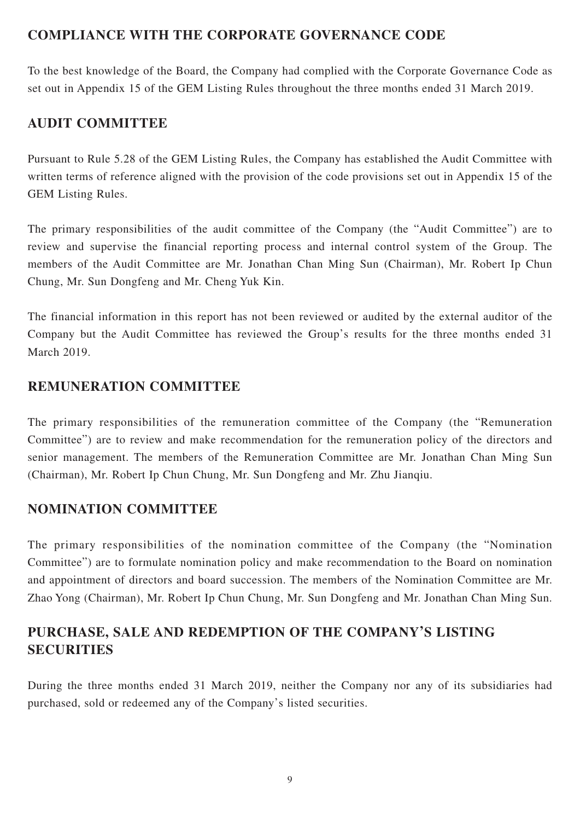## **COMPLIANCE WITH THE CORPORATE GOVERNANCE CODE**

To the best knowledge of the Board, the Company had complied with the Corporate Governance Code as set out in Appendix 15 of the GEM Listing Rules throughout the three months ended 31 March 2019.

## **AUDIT COMMITTEE**

Pursuant to Rule 5.28 of the GEM Listing Rules, the Company has established the Audit Committee with written terms of reference aligned with the provision of the code provisions set out in Appendix 15 of the GEM Listing Rules.

The primary responsibilities of the audit committee of the Company (the "Audit Committee") are to review and supervise the financial reporting process and internal control system of the Group. The members of the Audit Committee are Mr. Jonathan Chan Ming Sun (Chairman), Mr. Robert Ip Chun Chung, Mr. Sun Dongfeng and Mr. Cheng Yuk Kin.

The financial information in this report has not been reviewed or audited by the external auditor of the Company but the Audit Committee has reviewed the Group's results for the three months ended 31 March 2019.

### **REMUNERATION COMMITTEE**

The primary responsibilities of the remuneration committee of the Company (the "Remuneration Committee") are to review and make recommendation for the remuneration policy of the directors and senior management. The members of the Remuneration Committee are Mr. Jonathan Chan Ming Sun (Chairman), Mr. Robert Ip Chun Chung, Mr. Sun Dongfeng and Mr. Zhu Jianqiu.

## **NOMINATION COMMITTEE**

The primary responsibilities of the nomination committee of the Company (the "Nomination Committee") are to formulate nomination policy and make recommendation to the Board on nomination and appointment of directors and board succession. The members of the Nomination Committee are Mr. Zhao Yong (Chairman), Mr. Robert Ip Chun Chung, Mr. Sun Dongfeng and Mr. Jonathan Chan Ming Sun.

## **PURCHASE, SALE AND REDEMPTION OF THE COMPANY'S LISTING SECURITIES**

During the three months ended 31 March 2019, neither the Company nor any of its subsidiaries had purchased, sold or redeemed any of the Company's listed securities.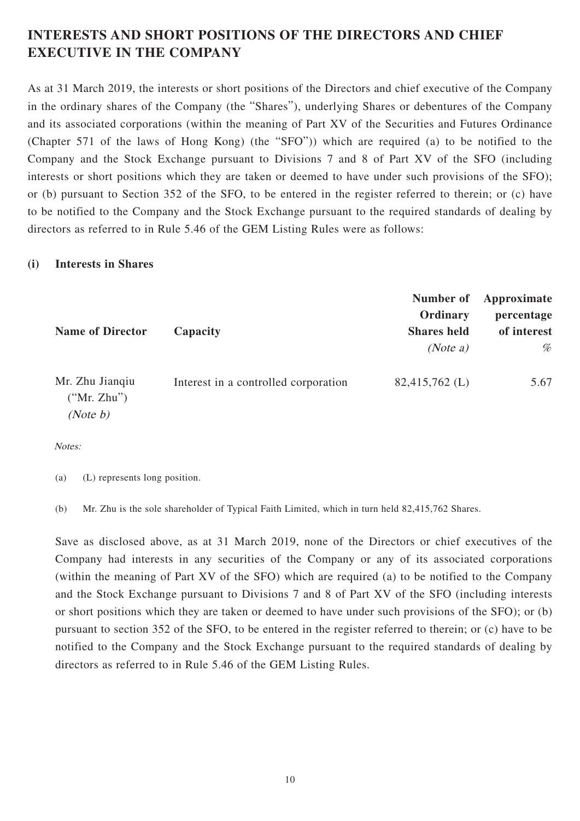# **INTERESTS AND SHORT POSITIONS OF THE DIRECTORS AND CHIEF EXECUTIVE IN THE COMPANY**

As at 31 March 2019, the interests or short positions of the Directors and chief executive of the Company in the ordinary shares of the Company (the "Shares"), underlying Shares or debentures of the Company and its associated corporations (within the meaning of Part XV of the Securities and Futures Ordinance (Chapter 571 of the laws of Hong Kong) (the "SFO")) which are required (a) to be notified to the Company and the Stock Exchange pursuant to Divisions 7 and 8 of Part XV of the SFO (including interests or short positions which they are taken or deemed to have under such provisions of the SFO); or (b) pursuant to Section 352 of the SFO, to be entered in the register referred to therein; or (c) have to be notified to the Company and the Stock Exchange pursuant to the required standards of dealing by directors as referred to in Rule 5.46 of the GEM Listing Rules were as follows:

#### **(i) Interests in Shares**

| <b>Name of Director</b>                    | Capacity                             | Number of<br>Ordinary<br><b>Shares</b> held<br>(Note a) | Approximate<br>percentage<br>of interest<br>% |
|--------------------------------------------|--------------------------------------|---------------------------------------------------------|-----------------------------------------------|
| Mr. Zhu Jianqiu<br>("Mr. Zhu")<br>(Note b) | Interest in a controlled corporation | $82,415,762 \; (L)$                                     | 5.67                                          |

Notes:

(a) (L) represents long position.

(b) Mr. Zhu is the sole shareholder of Typical Faith Limited, which in turn held 82,415,762 Shares.

Save as disclosed above, as at 31 March 2019, none of the Directors or chief executives of the Company had interests in any securities of the Company or any of its associated corporations (within the meaning of Part XV of the SFO) which are required (a) to be notified to the Company and the Stock Exchange pursuant to Divisions 7 and 8 of Part XV of the SFO (including interests or short positions which they are taken or deemed to have under such provisions of the SFO); or (b) pursuant to section 352 of the SFO, to be entered in the register referred to therein; or (c) have to be notified to the Company and the Stock Exchange pursuant to the required standards of dealing by directors as referred to in Rule 5.46 of the GEM Listing Rules.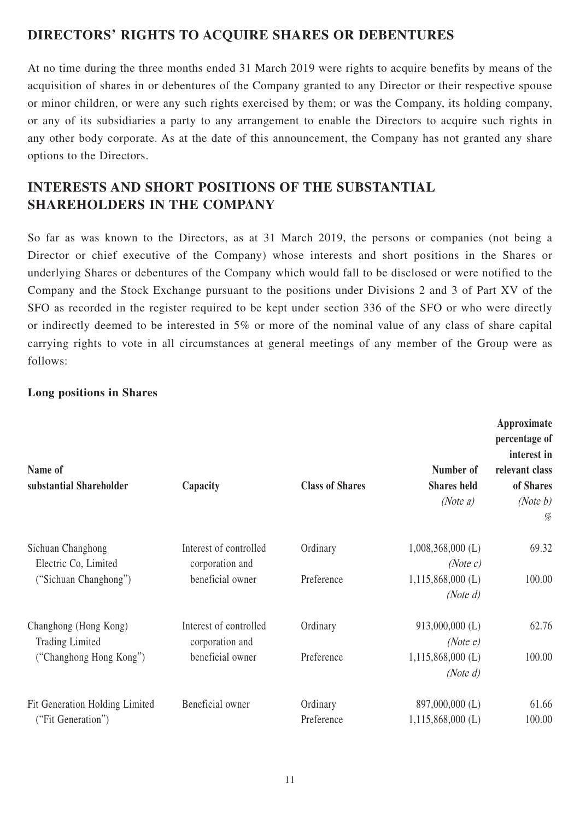## **DIRECTORS' RIGHTS TO ACQUIRE SHARES OR DEBENTURES**

At no time during the three months ended 31 March 2019 were rights to acquire benefits by means of the acquisition of shares in or debentures of the Company granted to any Director or their respective spouse or minor children, or were any such rights exercised by them; or was the Company, its holding company, or any of its subsidiaries a party to any arrangement to enable the Directors to acquire such rights in any other body corporate. As at the date of this announcement, the Company has not granted any share options to the Directors.

# **INTERESTS AND SHORT POSITIONS OF THE SUBSTANTIAL SHAREHOLDERS IN THE COMPANY**

So far as was known to the Directors, as at 31 March 2019, the persons or companies (not being a Director or chief executive of the Company) whose interests and short positions in the Shares or underlying Shares or debentures of the Company which would fall to be disclosed or were notified to the Company and the Stock Exchange pursuant to the positions under Divisions 2 and 3 of Part XV of the SFO as recorded in the register required to be kept under section 336 of the SFO or who were directly or indirectly deemed to be interested in 5% or more of the nominal value of any class of share capital carrying rights to vote in all circumstances at general meetings of any member of the Group were as follows:

#### **Long positions in Shares**

| Name of<br>substantial Shareholder              | Capacity                                  | <b>Class of Shares</b>             | Number of<br><b>Shares</b> held<br>(Note a) | Approximate<br>percentage of<br>interest in<br>relevant class<br>of Shares<br>(Note $b$ )<br>% |
|-------------------------------------------------|-------------------------------------------|------------------------------------|---------------------------------------------|------------------------------------------------------------------------------------------------|
| Sichuan Changhong<br>Electric Co, Limited       | Interest of controlled<br>corporation and | Ordinary                           | $1,008,368,000$ (L)<br>(Note c)             | 69.32                                                                                          |
| ("Sichuan Changhong")                           | beneficial owner                          | Preference                         | $1,115,868,000$ (L)<br>(Note $d$ )          | 100.00                                                                                         |
| Changhong (Hong Kong)<br><b>Trading Limited</b> | Interest of controlled<br>corporation and | Ordinary                           | $913,000,000$ (L)<br>(Note e)               | 62.76                                                                                          |
| beneficial owner<br>("Changhong Hong Kong")     | Preference                                | $1,115,868,000$ (L)<br>(Note $d$ ) | 100.00                                      |                                                                                                |
| Fit Generation Holding Limited                  | Beneficial owner                          | Ordinary                           | 897,000,000 (L)                             | 61.66                                                                                          |
| ("Fit Generation")                              |                                           | Preference                         | $1,115,868,000$ (L)                         | 100.00                                                                                         |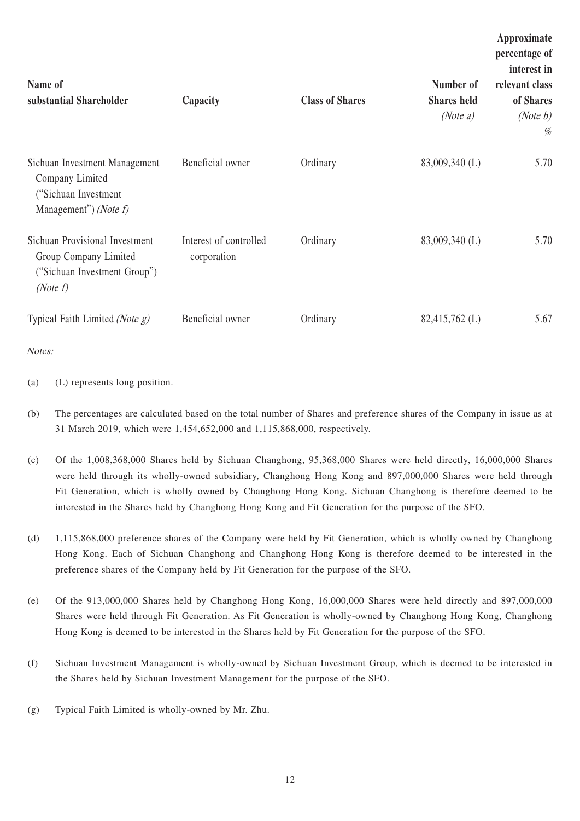| Name of<br>substantial Shareholder                                                                           | Capacity                              | <b>Class of Shares</b> | Number of<br><b>Shares</b> held<br>(Note $a$ ) | Approximate<br>percentage of<br>interest in<br>relevant class<br>of Shares<br>(Note $b$ )<br>% |
|--------------------------------------------------------------------------------------------------------------|---------------------------------------|------------------------|------------------------------------------------|------------------------------------------------------------------------------------------------|
| Sichuan Investment Management<br>Company Limited<br>("Sichuan Investment")<br>Management") ( <i>Note f</i> ) | Beneficial owner                      | Ordinary               | 83,009,340 (L)                                 | 5.70                                                                                           |
| Sichuan Provisional Investment<br>Group Company Limited<br>("Sichuan Investment Group")<br>(Note $f$ )       | Interest of controlled<br>corporation | Ordinary               | 83,009,340 (L)                                 | 5.70                                                                                           |
| Typical Faith Limited (Note $g$ )                                                                            | Beneficial owner                      | Ordinary               | 82,415,762 (L)                                 | 5.67                                                                                           |

Notes:

(a) (L) represents long position.

- (b) The percentages are calculated based on the total number of Shares and preference shares of the Company in issue as at 31 March 2019, which were 1,454,652,000 and 1,115,868,000, respectively.
- (c) Of the 1,008,368,000 Shares held by Sichuan Changhong, 95,368,000 Shares were held directly, 16,000,000 Shares were held through its wholly-owned subsidiary, Changhong Hong Kong and 897,000,000 Shares were held through Fit Generation, which is wholly owned by Changhong Hong Kong. Sichuan Changhong is therefore deemed to be interested in the Shares held by Changhong Hong Kong and Fit Generation for the purpose of the SFO.
- (d) 1,115,868,000 preference shares of the Company were held by Fit Generation, which is wholly owned by Changhong Hong Kong. Each of Sichuan Changhong and Changhong Hong Kong is therefore deemed to be interested in the preference shares of the Company held by Fit Generation for the purpose of the SFO.
- (e) Of the 913,000,000 Shares held by Changhong Hong Kong, 16,000,000 Shares were held directly and 897,000,000 Shares were held through Fit Generation. As Fit Generation is wholly-owned by Changhong Hong Kong, Changhong Hong Kong is deemed to be interested in the Shares held by Fit Generation for the purpose of the SFO.
- (f) Sichuan Investment Management is wholly-owned by Sichuan Investment Group, which is deemed to be interested in the Shares held by Sichuan Investment Management for the purpose of the SFO.
- (g) Typical Faith Limited is wholly-owned by Mr. Zhu.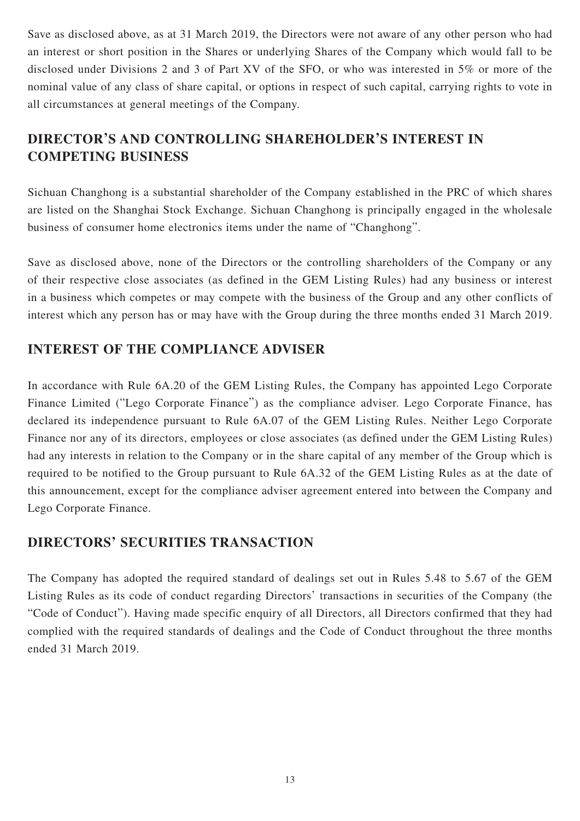Save as disclosed above, as at 31 March 2019, the Directors were not aware of any other person who had an interest or short position in the Shares or underlying Shares of the Company which would fall to be disclosed under Divisions 2 and 3 of Part XV of the SFO, or who was interested in 5% or more of the nominal value of any class of share capital, or options in respect of such capital, carrying rights to vote in all circumstances at general meetings of the Company.

# **DIRECTOR'S AND CONTROLLING SHAREHOLDER'S INTEREST IN COMPETING BUSINESS**

Sichuan Changhong is a substantial shareholder of the Company established in the PRC of which shares are listed on the Shanghai Stock Exchange. Sichuan Changhong is principally engaged in the wholesale business of consumer home electronics items under the name of "Changhong".

Save as disclosed above, none of the Directors or the controlling shareholders of the Company or any of their respective close associates (as defined in the GEM Listing Rules) had any business or interest in a business which competes or may compete with the business of the Group and any other conflicts of interest which any person has or may have with the Group during the three months ended 31 March 2019.

## **INTEREST OF THE COMPLIANCE ADVISER**

In accordance with Rule 6A.20 of the GEM Listing Rules, the Company has appointed Lego Corporate Finance Limited ("Lego Corporate Finance") as the compliance adviser. Lego Corporate Finance, has declared its independence pursuant to Rule 6A.07 of the GEM Listing Rules. Neither Lego Corporate Finance nor any of its directors, employees or close associates (as defined under the GEM Listing Rules) had any interests in relation to the Company or in the share capital of any member of the Group which is required to be notified to the Group pursuant to Rule 6A.32 of the GEM Listing Rules as at the date of this announcement, except for the compliance adviser agreement entered into between the Company and Lego Corporate Finance.

## **DIRECTORS' SECURITIES TRANSACTION**

The Company has adopted the required standard of dealings set out in Rules 5.48 to 5.67 of the GEM Listing Rules as its code of conduct regarding Directors' transactions in securities of the Company (the "Code of Conduct"). Having made specific enquiry of all Directors, all Directors confirmed that they had complied with the required standards of dealings and the Code of Conduct throughout the three months ended 31 March 2019.